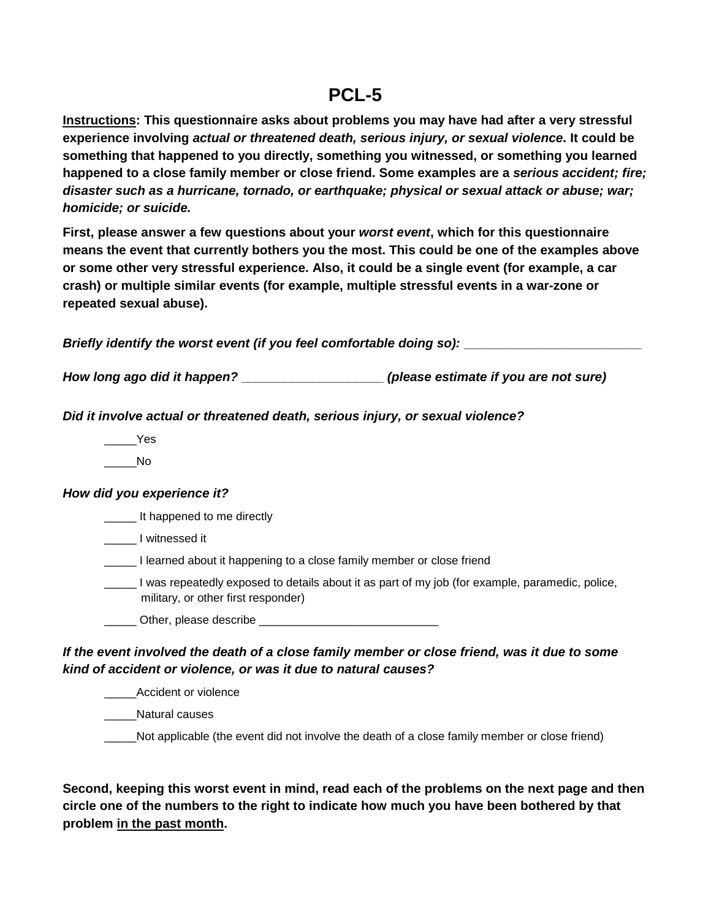## **PCL-5**

**Instructions: This questionnaire asks about problems you may have had after a very stressful experience involving** *actual or threatened death, serious injury, or sexual violence***. It could be something that happened to you directly, something you witnessed, or something you learned happened to a close family member or close friend. Some examples are a** *serious accident; fire; disaster such as a hurricane, tornado, or earthquake; physical or sexual attack or abuse; war; homicide; or suicide.*

**First, please answer a few questions about your** *worst event***, which for this questionnaire means the event that currently bothers you the most. This could be one of the examples above or some other very stressful experience. Also, it could be a single event (for example, a car crash) or multiple similar events (for example, multiple stressful events in a war-zone or repeated sexual abuse).** 

*Briefly identify the worst event (if you feel comfortable doing so):* **\_\_\_\_\_\_\_\_\_\_\_\_\_\_\_\_\_\_\_\_\_\_\_\_\_**

*How long ago did it happen?* **\_\_\_\_\_\_\_\_\_\_\_\_\_\_\_\_\_\_\_\_** *(please estimate if you are not sure)*

*Did it involve actual or threatened death, serious injury, or sexual violence?*

\_\_\_\_\_Yes

 $\blacksquare$ 

## *How did you experience it?*

**\_\_\_\_\_** It happened to me directly

\_\_\_\_\_ I witnessed it

**I learned about it happening to a close family member or close friend** 

\_\_\_\_\_ I was repeatedly exposed to details about it as part of my job (for example, paramedic, police, military, or other first responder)

Other, please describe

## *If the event involved the death of a close family member or close friend, was it due to some kind of accident or violence, or was it due to natural causes?*

Accident or violence

\_\_\_\_\_Natural causes

Not applicable (the event did not involve the death of a close family member or close friend)

**Second, keeping this worst event in mind, read each of the problems on the next page and then circle one of the numbers to the right to indicate how much you have been bothered by that problem in the past month.**